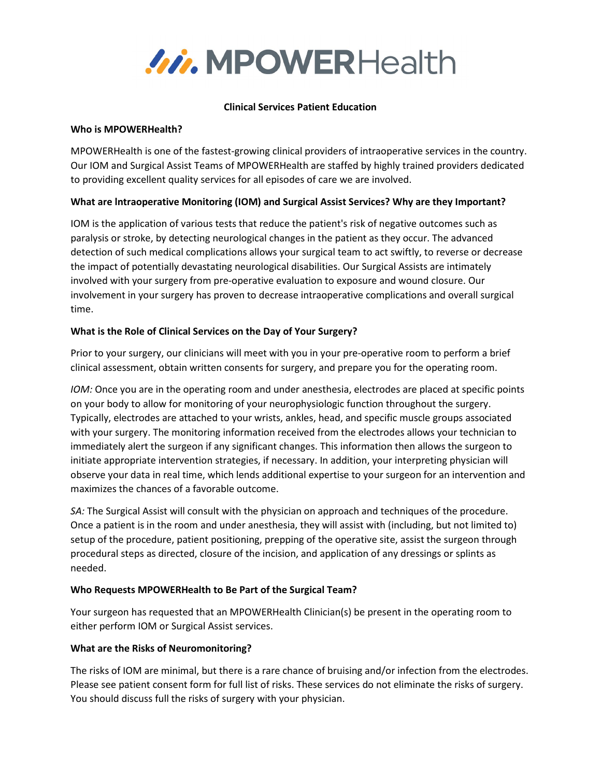

#### **Clinical Services Patient Education**

### **Who is MPOWERHealth?**

MPOWERHealth is one of the fastest-growing clinical providers of intraoperative services in the country. Our IOM and Surgical Assist Teams of MPOWERHealth are staffed by highly trained providers dedicated to providing excellent quality services for all episodes of care we are involved.

# **What are lntraoperative Monitoring (IOM) and Surgical Assist Services? Why are they Important?**

IOM is the application of various tests that reduce the patient's risk of negative outcomes such as paralysis or stroke, by detecting neurological changes in the patient as they occur. The advanced detection of such medical complications allows your surgical team to act swiftly, to reverse or decrease the impact of potentially devastating neurological disabilities. Our Surgical Assists are intimately involved with your surgery from pre-operative evaluation to exposure and wound closure. Our involvement in your surgery has proven to decrease intraoperative complications and overall surgical time.

# **What is the Role of Clinical Services on the Day of Your Surgery?**

Prior to your surgery, our clinicians will meet with you in your pre-operative room to perform a brief clinical assessment, obtain written consents for surgery, and prepare you for the operating room.

*IOM:* Once you are in the operating room and under anesthesia, electrodes are placed at specific points on your body to allow for monitoring of your neurophysiologic function throughout the surgery. Typically, electrodes are attached to your wrists, ankles, head, and specific muscle groups associated with your surgery. The monitoring information received from the electrodes allows your technician to immediately alert the surgeon if any significant changes. This information then allows the surgeon to initiate appropriate intervention strategies, if necessary. In addition, your interpreting physician will observe your data in real time, which lends additional expertise to your surgeon for an intervention and maximizes the chances of a favorable outcome.

*SA:* The Surgical Assist will consult with the physician on approach and techniques of the procedure. Once a patient is in the room and under anesthesia, they will assist with (including, but not limited to) setup of the procedure, patient positioning, prepping of the operative site, assist the surgeon through procedural steps as directed, closure of the incision, and application of any dressings or splints as needed.

### **Who Requests MPOWERHealth to Be Part of the Surgical Team?**

Your surgeon has requested that an MPOWERHealth Clinician(s) be present in the operating room to either perform IOM or Surgical Assist services.

### **What are the Risks of Neuromonitoring?**

The risks of IOM are minimal, but there is a rare chance of bruising and/or infection from the electrodes. Please see patient consent form for full list of risks. These services do not eliminate the risks of surgery. You should discuss full the risks of surgery with your physician.